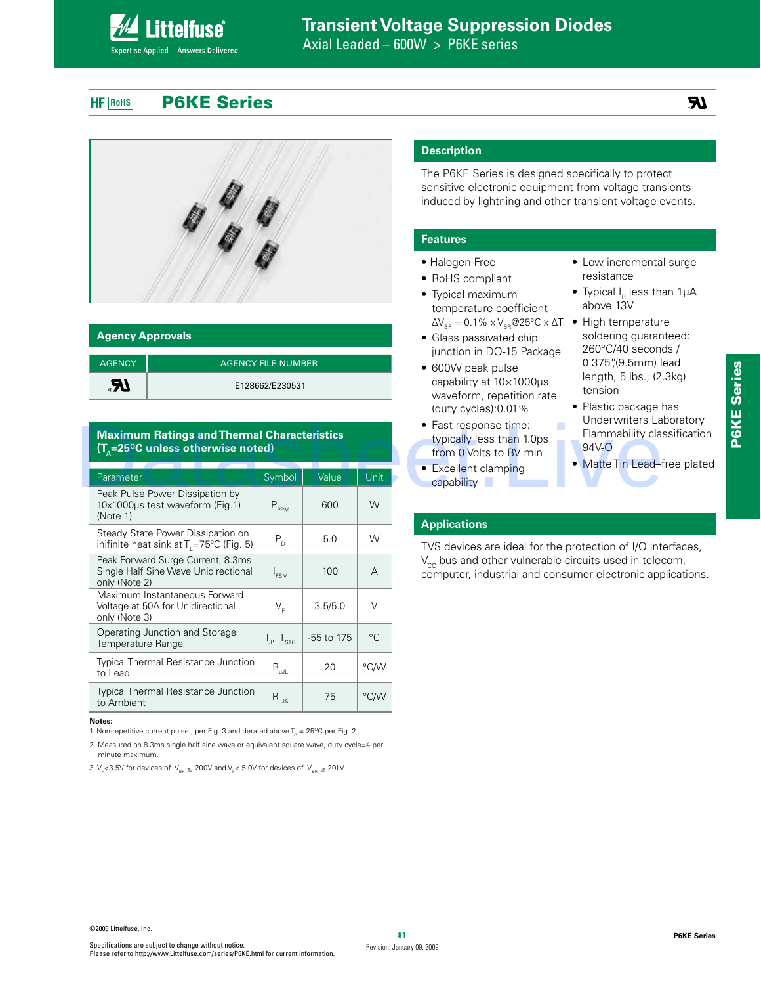**HF** RoHS

### **P6KE Series**

**ittelfuse** 

Expertise Applied | Answers Delivered



#### **Agency Approvals**

| <b>AGENCY</b>              | <b>AGENCY FILE NUMBER</b> |
|----------------------------|---------------------------|
| $\boldsymbol{\mathcal{R}}$ | E128662/E230531           |

#### **Maximum Ratings and Thermal Characteristics (T<sub>A</sub>=25<sup>o</sup>C unless otherwise noted)**

| <b>Maximum Ratings and Thermal Characteristics</b><br>$(T_{\text{A}}=25^{\circ}C$ unless otherwise noted) |                                               | Underwriters La<br>• Fast response time:<br>Flammability clas<br>typically less than 1.0ps<br>94V-O<br>from 0 Volts to BV min |                |                                                                                                                        |
|-----------------------------------------------------------------------------------------------------------|-----------------------------------------------|-------------------------------------------------------------------------------------------------------------------------------|----------------|------------------------------------------------------------------------------------------------------------------------|
| Parameter                                                                                                 | Symbol                                        | Value                                                                                                                         | Unit           | • Matte Tin Lead-1<br>• Excellent clamping<br>capability                                                               |
| Peak Pulse Power Dissipation by<br>10x1000µs test waveform (Fig.1)<br>(Note 1)                            | $P_{PPM}$                                     | 600                                                                                                                           | W              |                                                                                                                        |
| Steady State Power Dissipation on<br>inifinite heat sink at $T_1 = 75^{\circ}C$ (Fig. 5)                  | $\mathsf{P}_{\scriptscriptstyle{\mathsf{D}}}$ | 5.0                                                                                                                           | W              | <b>Applications</b><br>TVS devices are ideal for the protection of I/O inter-                                          |
| Peak Forward Surge Current, 8.3ms<br>Single Half Sine Wave Unidirectional<br>only (Note 2)                | $I_{FSM}$                                     | 100                                                                                                                           | $\overline{A}$ | $V_{cc}$ bus and other vulnerable circuits used in teled<br>computer, industrial and consumer electronic appropriated. |
| Maximum Instantaneous Forward<br>Voltage at 50A for Unidirectional<br>only (Note 3)                       | $V_{\epsilon}$                                | 3.5/5.0                                                                                                                       | $\vee$         |                                                                                                                        |
| Operating Junction and Storage<br>Temperature Range                                                       | $T_{J}$ , $T_{STG}$                           | -55 to 175                                                                                                                    | $^{\circ}C$    |                                                                                                                        |
| <b>Typical Thermal Resistance Junction</b><br>to Lead                                                     | $R_{\text{uJL}}$                              | 20                                                                                                                            | °C/W           |                                                                                                                        |
| <b>Typical Thermal Resistance Junction</b><br>to Ambient                                                  | $R_{\rm uJA}$                                 | 75                                                                                                                            | °C/W           |                                                                                                                        |
|                                                                                                           |                                               |                                                                                                                               |                |                                                                                                                        |

#### **Notes:**

1. Non-repetitive current pulse, per Fig. 3 and derated above  $T_A = 25^{\circ}C$  per Fig. 2.

2. Measured on 8.3ms single half sine wave or equivalent square wave, duty cycle=4 per minute maximum.

#### **Description**

The P6KE Series is designed specifically to protect sensitive electronic equipment from voltage transients induced by lightning and other transient voltage events.

#### **Features**

#### • Halogen-Free

- RoHS compliant
- Typical maximum temperature coefficient  $\Delta V_{_{\rm BR}}$  = 0.1% x V<sub>BR</sub>@25°C x ΔT  $\;\bullet\;$  High temperature
- Glass passivated chip junction in DO-15 Package
- $\bullet$  600W peak pulse capability at 10×1000μs waveform, repetition rate (duty cycles):0.01%
- Fast response time: typically less than 1.0ps from 0 Volts to BV min
- Excellent clamping capability **T**

• Low incremental surge resistance

- Typical  $I_n$  less than  $1\mu A$ above 13V
- soldering guaranteed: 260°C/40 seconds / 0.375",(9.5mm) lead length, 5 lbs., (2.3kg) tension
- Plastic package has Underwriters Laboratory Flammability classification 94V-O
- Matte Tin Lead-free plated

#### **Applications**

TVS devices are ideal for the protection of I/O interfaces,  $V_{cc}$  bus and other vulnerable circuits used in telecom, computer, industrial and consumer electronic applications.

<sup>3.</sup> V<sub>F</sub><3.5V for devices of V<sub>BR</sub>  $\leq$  200V and V<sub>F</sub>< 5.0V for devices of V<sub>BR</sub>  $\geq$  201V.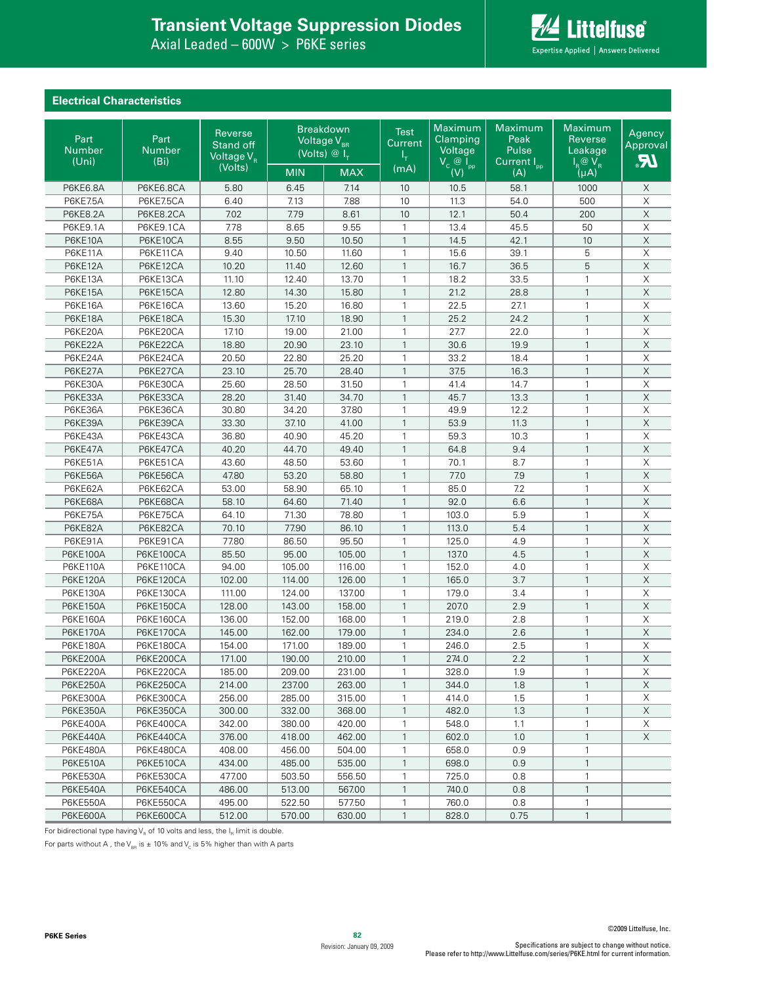## **Transient Voltage Suppression Diodes**

Axial Leaded – 600W > P6KE series



#### **Electrical Characteristics**

| Part<br><b>Number</b><br>(Uni) | Part<br><b>Number</b><br>(B <sub>i</sub> ) | <b>Reverse</b><br>Stand off<br>Voltage V <sub>R</sub> |            | <b>Breakdown</b><br>Voltage V <sub>BR</sub><br>(Volts) $@I_{\tau}$ | <b>Test</b><br>Current<br>ı+ | Maximum<br>Clamping<br>Voltage<br>$V_c$ $@$ $V_{pp}$ | <b>Maximum</b><br>Peak<br><b>Pulse</b><br>Current I <sub>pp</sub> | Maximum<br><b>Reverse</b><br>Leakage<br>$I_R @ V_R$ | Agency<br>Approval<br><b>JR</b> |
|--------------------------------|--------------------------------------------|-------------------------------------------------------|------------|--------------------------------------------------------------------|------------------------------|------------------------------------------------------|-------------------------------------------------------------------|-----------------------------------------------------|---------------------------------|
|                                |                                            | (Volts)                                               | <b>MIN</b> | <b>MAX</b>                                                         | (mA)                         | (V)                                                  | (A)                                                               | $(\mu A)$                                           |                                 |
| <b>P6KE6.8A</b>                | P6KE6.8CA                                  | 5.80                                                  | 6.45       | 7.14                                                               | 10                           | 10.5                                                 | 58.1                                                              | 1000                                                | X                               |
| <b>P6KE7.5A</b>                | P6KE7.5CA                                  | 6.40                                                  | 7.13       | 7.88                                                               | 10                           | 11.3                                                 | 54.0                                                              | 500                                                 | $\times$                        |
| <b>P6KE8.2A</b>                | P6KE8.2CA                                  | 7.02                                                  | 7.79       | 8.61                                                               | 10                           | 12.1                                                 | 50.4                                                              | 200                                                 | $\overline{\mathsf{X}}$         |
| P6KE9.1A                       | P6KE9.1CA                                  | 7.78                                                  | 8.65       | 9.55                                                               | $\mathbf{1}$                 | 13.4                                                 | 45.5                                                              | 50                                                  | X                               |
| P6KE10A                        | P6KE10CA                                   | 8.55                                                  | 9.50       | 10.50                                                              | $\mathbf{1}$                 | 14.5                                                 | 42.1                                                              | 10                                                  | $\overline{\mathsf{X}}$         |
| P6KE11A                        | P6KE11CA                                   | 9.40                                                  | 10.50      | 11.60                                                              | $\mathbf{1}$                 | 15.6                                                 | 39.1                                                              | 5                                                   | $\mathsf X$                     |
| P6KE12A                        | P6KE12CA                                   | 10.20                                                 | 11.40      | 12.60                                                              | $\mathbf{1}$                 | 16.7                                                 | 36.5                                                              | 5                                                   | $\mathsf X$                     |
| P6KE13A                        | P6KE13CA                                   | 11.10                                                 | 12.40      | 13.70                                                              | $\mathbf{1}$                 | 18.2                                                 | 33.5                                                              | $\mathbf{1}$                                        | X                               |
| P6KE15A                        | P6KE15CA                                   | 12.80                                                 | 14.30      | 15.80                                                              | $\mathbf{1}$                 | 21.2                                                 | 28.8                                                              | $\mathbf{1}$                                        | $\mathsf X$                     |
| P6KE16A                        | P6KE16CA                                   | 13.60                                                 | 15.20      | 16.80                                                              | $\mathbf{1}$                 | 22.5                                                 | 27.1                                                              | $\mathbf{1}$                                        | $\mathsf X$                     |
| P6KE18A                        | P6KE18CA                                   | 15.30                                                 | 17.10      | 18.90                                                              | $\mathbf{1}$                 | 25.2                                                 | 24.2                                                              | $\mathbf{1}$                                        | $\mathsf X$                     |
| P6KE20A                        | P6KE20CA                                   | 17.10                                                 | 19.00      | 21.00                                                              | $\mathbf{1}$                 | 27.7                                                 | 22.0                                                              | $\mathbf{1}$                                        | X                               |
| P6KE22A                        | P6KE22CA                                   | 18.80                                                 | 20.90      | 23.10                                                              | $\mathbf{1}$                 | 30.6                                                 | 19.9                                                              | $\mathbf{1}$                                        | $\mathsf X$                     |
| P6KE24A                        | P6KE24CA                                   | 20.50                                                 | 22.80      | 25.20                                                              | $\mathbf{1}$                 | 33.2                                                 | 18.4                                                              | $\mathbf{1}$                                        | $\mathsf X$                     |
| P6KE27A                        | P6KE27CA                                   | 23.10                                                 | 25.70      | 28.40                                                              | $\mathbf{1}$                 | 37.5                                                 | 16.3                                                              | $\mathbf{1}$                                        | $\mathsf X$                     |
| P6KE30A                        | P6KE30CA                                   | 25.60                                                 | 28.50      | 31.50                                                              | $\mathbf{1}$                 | 41.4                                                 | 14.7                                                              | $\mathbf{1}$                                        | X                               |
| P6KE33A                        | P6KE33CA                                   | 28.20                                                 | 31.40      | 34.70                                                              | $\mathbf{1}$                 | 45.7                                                 | 13.3                                                              | $\mathbf{1}$                                        | $\mathsf X$                     |
| P6KE36A                        | P6KE36CA                                   | 30.80                                                 | 34.20      | 37.80                                                              | $\mathbf{1}$                 | 49.9                                                 | 12.2                                                              | $\mathbf{1}$                                        | $\mathsf X$                     |
| P6KE39A                        | P6KE39CA                                   | 33.30                                                 | 37.10      | 41.00                                                              | $\mathbf{1}$                 | 53.9                                                 | 11.3                                                              | $\mathbf{1}$                                        | $\mathsf X$                     |
| P6KE43A                        | P6KE43CA                                   | 36.80                                                 | 40.90      | 45.20                                                              | $\mathbf{1}$                 | 59.3                                                 | 10.3                                                              | $\mathbf{1}$                                        | X                               |
| P6KE47A                        | P6KE47CA                                   | 40.20                                                 | 44.70      | 49.40                                                              | $\mathbf{1}$                 | 64.8                                                 | 9.4                                                               | $\mathbf{1}$                                        | $\mathsf X$                     |
| P6KE51A                        | P6KE51CA                                   | 43.60                                                 | 48.50      | 53.60                                                              | $\mathbf{1}$                 | 70.1                                                 | 8.7                                                               | $\mathbf{1}$                                        | $\mathsf X$                     |
| P6KE56A                        | P6KE56CA                                   | 47.80                                                 | 53.20      | 58.80                                                              | $\mathbf{1}$                 | 77.0                                                 | 7.9                                                               | $\mathbf{1}$                                        | $\mathsf X$                     |
| P6KE62A                        | P6KE62CA                                   | 53.00                                                 | 58.90      | 65.10                                                              | $\mathbf{1}$                 | 85.0                                                 | 7.2                                                               | $\mathbf{1}$                                        | X                               |
| P6KE68A                        | P6KE68CA                                   | 58.10                                                 | 64.60      | 71.40                                                              | $\mathbf{1}$                 | 92.0                                                 | 6.6                                                               | $\mathbf{1}$                                        | $\mathsf X$                     |
| P6KE75A                        | P6KE75CA                                   | 64.10                                                 | 71.30      | 78.80                                                              | 1                            | 103.0                                                | 5.9                                                               | $\mathbf{1}$                                        | $\mathsf X$                     |
| P6KE82A                        | P6KE82CA                                   | 70.10                                                 | 77.90      | 86.10                                                              | $\mathbf{1}$                 | 113.0                                                | 5.4                                                               | $\mathbf{1}$                                        | $\mathsf X$                     |
| P6KE91A                        | P6KE91CA                                   | 77.80                                                 | 86.50      | 95.50                                                              | $\mathbf{1}$                 | 125.0                                                | 4.9                                                               | $\mathbf{1}$                                        | X                               |
| <b>P6KE100A</b>                | P6KE100CA                                  | 85.50                                                 | 95.00      | 105.00                                                             | $\mathbf{1}$                 | 137.0                                                | 4.5                                                               | $\mathbf{1}$                                        | $\mathsf X$                     |
| P6KE110A                       | P6KE110CA                                  | 94.00                                                 | 105.00     | 116.00                                                             | $\mathbf{1}$                 | 152.0                                                | 4.0                                                               | $\mathbf{1}$                                        | $\mathsf X$                     |
| <b>P6KE120A</b>                | P6KE120CA                                  | 102.00                                                | 114.00     | 126.00                                                             | $\mathbf{1}$                 | 165.0                                                | 3.7                                                               | $\mathbf{1}$                                        | $\mathsf X$                     |
| <b>P6KE130A</b>                | P6KE130CA                                  | 111.00                                                | 124.00     | 137.00                                                             | 1                            | 179.0                                                | 3.4                                                               | $\mathbf{1}$                                        | X                               |
| <b>P6KE150A</b>                | P6KE150CA                                  | 128.00                                                | 143.00     | 158.00                                                             | $\mathbf{1}$                 | 207.0                                                | 2.9                                                               | $\mathbf{1}$                                        | $\mathsf X$                     |
| <b>P6KE160A</b>                | P6KE160CA                                  | 136.00                                                | 152.00     | 168.00                                                             | 1                            | 219.0                                                | 2.8                                                               | $\mathbf{1}$                                        | $\mathsf X$                     |
| <b>P6KE170A</b>                | P6KE170CA                                  | 145.00                                                | 162.00     | 179.00                                                             | $\mathbf{1}$                 | 234.0                                                | 2.6                                                               | $\mathbf{1}$                                        | $\mathsf X$                     |
| <b>P6KE180A</b>                | P6KE180CA                                  | 154.00                                                | 171.00     | 189.00                                                             | 1                            | 246.0                                                | 2.5                                                               | $\mathbf{1}$                                        | X                               |
| <b>P6KE200A</b>                | P6KE200CA                                  | 171.00                                                | 190.00     | 210.00                                                             | $\mathbf{1}$                 | 274.0                                                | 2.2                                                               | $\mathbf{1}$                                        | $\mathsf X$                     |
| <b>P6KE220A</b>                | P6KE220CA                                  | 185.00                                                | 209.00     | 231.00                                                             | 1                            | 328.0                                                | 1.9                                                               |                                                     | $\mathsf X$                     |
| <b>P6KE250A</b>                | P6KE250CA                                  | 214.00                                                | 237.00     | 263.00                                                             | $\mathbf{1}$                 | 344.0                                                | 1.8                                                               | $\mathbf{1}$                                        | X                               |
| P6KE300A                       | P6KE300CA                                  | 256.00                                                | 285.00     | 315.00                                                             | 1                            | 414.0                                                | 1.5                                                               | $\mathbf{1}$                                        | X                               |
| <b>P6KE350A</b>                | P6KE350CA                                  | 300.00                                                | 332.00     | 368.00                                                             | $\mathbf{1}$                 | 482.0                                                | 1.3                                                               | $\mathbf{1}$                                        | X                               |
| P6KE400A                       | P6KE400CA                                  | 342.00                                                | 380.00     | 420.00                                                             | 1                            | 548.0                                                | 1.1                                                               | $\mathbf{1}$                                        | X                               |
| <b>P6KE440A</b>                | P6KE440CA                                  | 376.00                                                | 418.00     | 462.00                                                             | $\mathbf{1}$                 | 602.0                                                | 1.0                                                               | $\mathbf{1}$                                        | X                               |
| <b>P6KE480A</b>                | P6KE480CA                                  | 408.00                                                | 456.00     | 504.00                                                             | $\mathbf{1}$                 | 658.0                                                | 0.9                                                               | $\mathbf{1}$                                        |                                 |
| <b>P6KE510A</b>                | P6KE510CA                                  | 434.00                                                | 485.00     | 535.00                                                             | $\mathbf{1}$                 | 698.0                                                | 0.9                                                               | $\mathbf{1}$                                        |                                 |
| <b>P6KE530A</b>                | P6KE530CA                                  | 477.00                                                | 503.50     | 556.50                                                             | $\mathbf{1}$                 | 725.0                                                | 0.8                                                               | $\mathbf{1}$                                        |                                 |
| <b>P6KE540A</b>                | P6KE540CA                                  | 486.00                                                | 513.00     | 567.00                                                             | $\mathbf{1}$                 | 740.0                                                | 0.8                                                               | $\mathbf{1}$                                        |                                 |
| <b>P6KE550A</b>                | P6KE550CA                                  | 495.00                                                | 522.50     | 577.50                                                             | 1                            | 760.0                                                | 0.8                                                               | $\mathbf{1}$                                        |                                 |
| <b>P6KE600A</b>                | P6KE600CA                                  | 512.00                                                | 570.00     | 630.00                                                             | $\mathbf{1}$                 | 828.0                                                | 0.75                                                              | $\mathbf{1}$                                        |                                 |

For bidirectional type having  $V_R$  of 10 volts and less, the  $I_R$  limit is double.

For parts without A, the V<sub>BR</sub> is  $\pm$  10% and V<sub>C</sub> is 5% higher than with A parts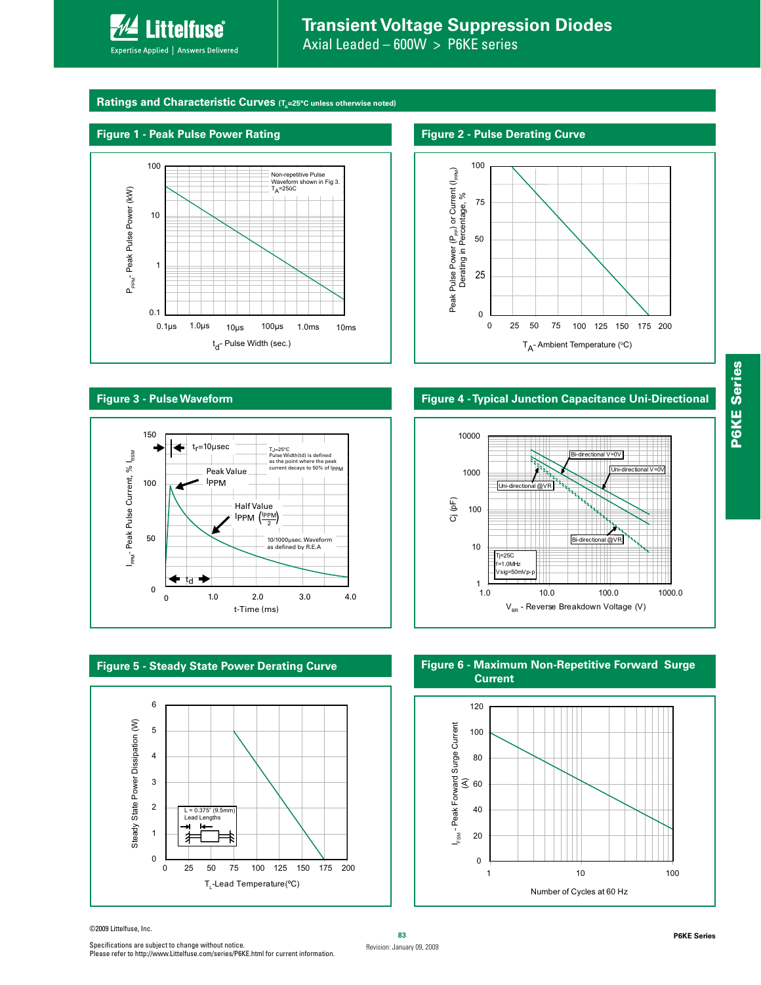

## **Transient Voltage Suppression Diodes**

Axial Leaded – 600W > P6KE series

#### Ratings and Characteristic Curves (T<sub>A</sub>=25°C unless otherwise noted)

#### **Figure 1 - Peak Pulse Power Rating Figure 2 - Pulse Derating Curve**





#### **Figure 3 - Pulse Waveform**





#### **Figure 5 - Steady State Power Derating Curve**

#### **Figure 4 - Typical Junction Capacitance Uni-Directional**



#### **Figure 6 - Maximum Non-Repetitive Forward Surge Current**



**<sup>83</sup>** ©2009 Littelfuse, Inc.

Specifications are subject to change without notice. Please refer to http://www.Littelfuse.com/series/P6KE.html for current information.

**P6KE Series**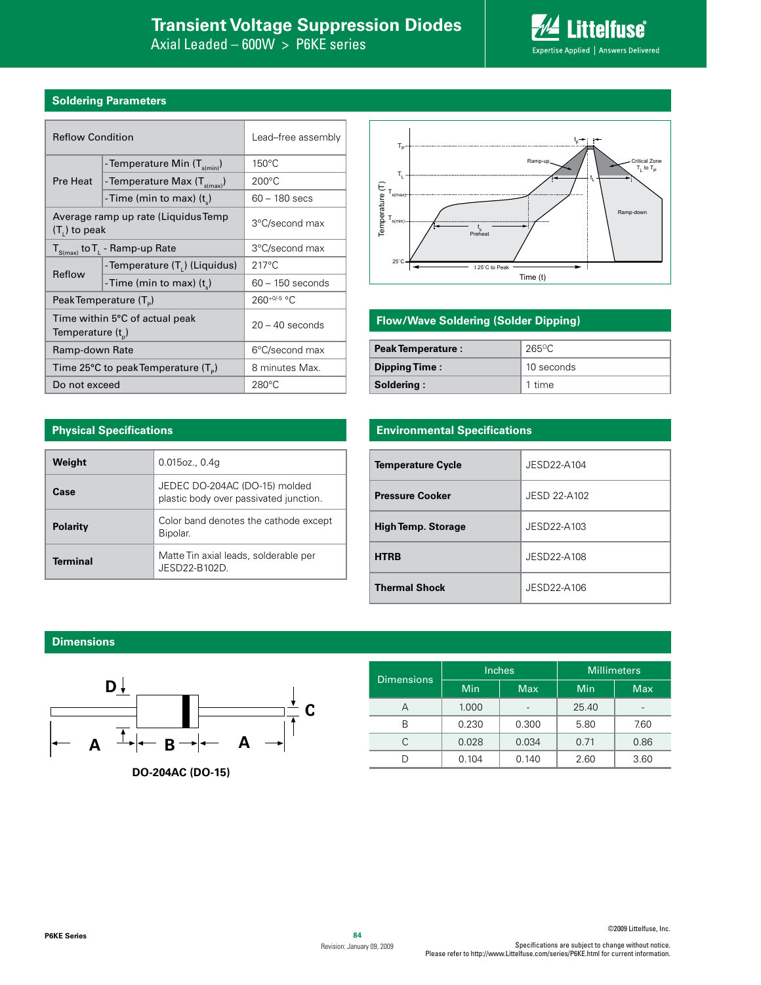

#### **Soldering Parameters**

| <b>Reflow Condition</b> |                                                           | Lead-free assembly |  |
|-------------------------|-----------------------------------------------------------|--------------------|--|
|                         | - Temperature Min $(T_{s(min)})$                          | $150^{\circ}$ C    |  |
| Pre Heat                | - Temperature Max $(T_{s(max)})$                          | 200°C              |  |
|                         | -Time (min to max) $(t_*)$                                | $60 - 180$ secs    |  |
| $(T1)$ to peak          | Average ramp up rate (Liquidus Temp                       | 3°C/second max     |  |
|                         | $T_{S(max)}$ to $T_{L}$ - Ramp-up Rate                    | 3°C/second max     |  |
| Reflow                  | - Temperature (T <sub>1</sub> ) (Liquidus)                | $217^{\circ}$ C    |  |
|                         | -Time (min to max) $(t_*)$                                | $60 - 150$ seconds |  |
|                         | Peak Temperature (T <sub>e</sub> )                        | $260^{+0/5}$ °C    |  |
| Temperature $(t_{p})$   | Time within 5°C of actual peak                            | $20 - 40$ seconds  |  |
| Ramp-down Rate          |                                                           | 6°C/second max     |  |
|                         | Time 25 $\degree$ C to peak Temperature (T <sub>o</sub> ) | 8 minutes Max.     |  |
| Do not exceed           |                                                           | $280^{\circ}$ C    |  |



#### **Flow/Wave Soldering (Solder Dipping)**

| <b>Peak Temperature:</b> | $265\degree C$ |
|--------------------------|----------------|
| Dipping Time:            | 10 seconds     |
| Soldering:               | 1 time         |

#### **Physical Specifications**

| Weight          | $0.015$ oz., $0.4q$                                                     |
|-----------------|-------------------------------------------------------------------------|
| Case            | JEDEC DO-204AC (DO-15) molded<br>plastic body over passivated junction. |
| <b>Polarity</b> | Color band denotes the cathode except<br>Bipolar.                       |
| <b>Terminal</b> | Matte Tin axial leads, solderable per<br>JESD22-B102D.                  |

## **Environmental Specifications**

| <b>Temperature Cycle</b>  | JESD22-A104  |
|---------------------------|--------------|
| <b>Pressure Cooker</b>    | JESD 22-A102 |
| <b>High Temp. Storage</b> | JESD22-A103  |
| <b>HTRB</b>               | JESD22-A108  |
| <b>Thermal Shock</b>      | JFSD22-A106  |

#### **Dimensions**



| <b>Dimensions</b> |                   | Inches | <b>Millimeters</b> |      |  |
|-------------------|-------------------|--------|--------------------|------|--|
|                   | Min<br><b>Max</b> |        | Min<br><b>Max</b>  |      |  |
| А                 | 1.000             |        | 25.40              |      |  |
| R                 | 0.230             | 0.300  | 5.80               | 7.60 |  |
|                   | 0.028             | 0.034  | 0.71               | 0.86 |  |
|                   | 0.104             | 0.140  | 2.60               | 3.60 |  |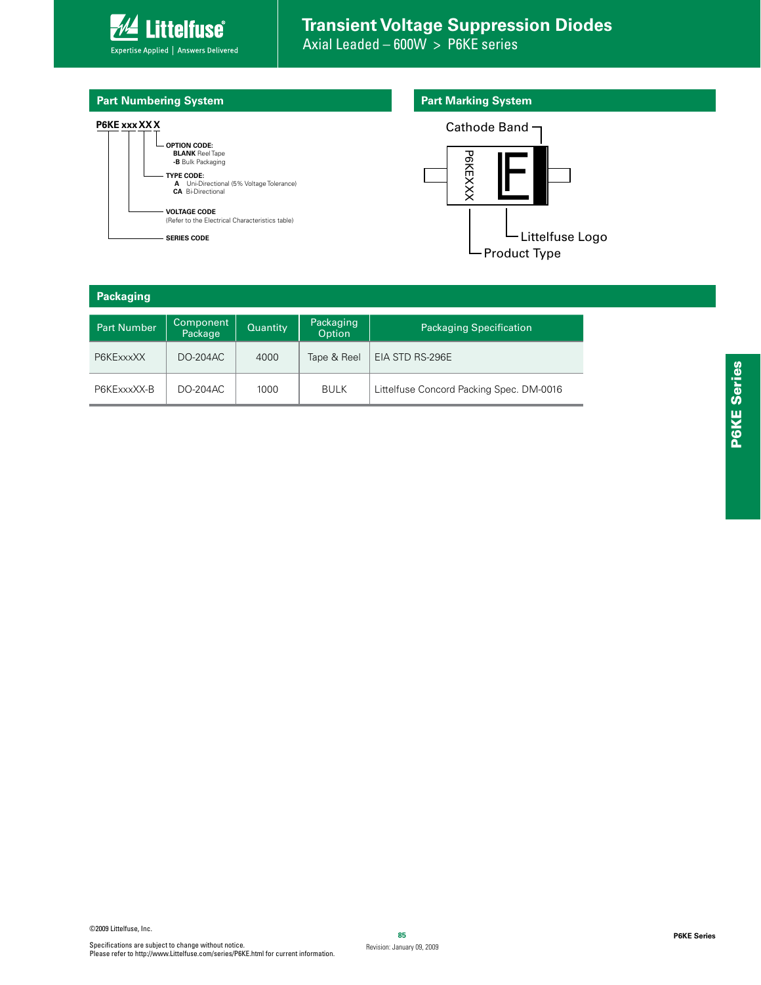

Axial Leaded – 600W > P6KE series

#### **Part Numbering System**







#### **Packaging**

| <b>Part Number</b> | Component<br>Package | Quantity | Packaging<br>Option | <b>Packaging Specification</b>           |
|--------------------|----------------------|----------|---------------------|------------------------------------------|
| P6KExxxXX          | DO-204AC             | 4000     | Tape & Reel         | EIA STD RS-296E                          |
| P6KExxxXX-B        | DO-204AC             | 1000     | <b>BULK</b>         | Littelfuse Concord Packing Spec. DM-0016 |